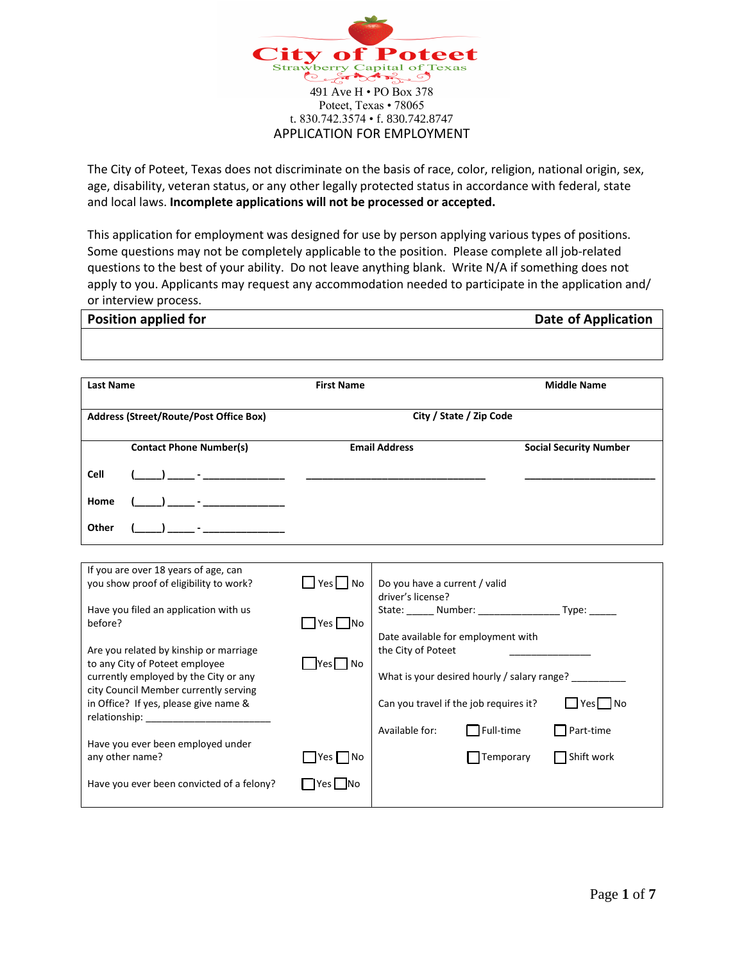

The City of Poteet, Texas does not discriminate on the basis of race, color, religion, national origin, sex, age, disability, veteran status, or any other legally protected status in accordance with federal, state and local laws. **Incomplete applications will not be processed or accepted.**

This application for employment was designed for use by person applying various types of positions. Some questions may not be completely applicable to the position. Please complete all job-related questions to the best of your ability. Do not leave anything blank. Write N/A if something does not apply to you. Applicants may request any accommodation needed to participate in the application and/ or interview process.

| <b>Position applied for</b>                                                                                                                                                                                                                                                                                                               |                                                                     | <b>Date of Application</b>                                                                                                                                                                                                                                                                 |
|-------------------------------------------------------------------------------------------------------------------------------------------------------------------------------------------------------------------------------------------------------------------------------------------------------------------------------------------|---------------------------------------------------------------------|--------------------------------------------------------------------------------------------------------------------------------------------------------------------------------------------------------------------------------------------------------------------------------------------|
|                                                                                                                                                                                                                                                                                                                                           |                                                                     |                                                                                                                                                                                                                                                                                            |
| <b>Last Name</b>                                                                                                                                                                                                                                                                                                                          | <b>First Name</b>                                                   | <b>Middle Name</b>                                                                                                                                                                                                                                                                         |
| Address (Street/Route/Post Office Box)                                                                                                                                                                                                                                                                                                    |                                                                     | City / State / Zip Code                                                                                                                                                                                                                                                                    |
| <b>Contact Phone Number(s)</b>                                                                                                                                                                                                                                                                                                            |                                                                     | <b>Email Address</b><br><b>Social Security Number</b>                                                                                                                                                                                                                                      |
| <b>Cell</b>                                                                                                                                                                                                                                                                                                                               | $\frac{1}{2}$ and $\frac{1}{2}$ and $\frac{1}{2}$ and $\frac{1}{2}$ |                                                                                                                                                                                                                                                                                            |
| Home                                                                                                                                                                                                                                                                                                                                      |                                                                     |                                                                                                                                                                                                                                                                                            |
| Other                                                                                                                                                                                                                                                                                                                                     |                                                                     |                                                                                                                                                                                                                                                                                            |
| If you are over 18 years of age, can<br>you show proof of eligibility to work?<br>Have you filed an application with us<br>before?<br>Are you related by kinship or marriage<br>to any City of Poteet employee<br>currently employed by the City or any<br>city Council Member currently serving<br>in Office? If yes, please give name & | $\Box$ Yes No<br>$\Box$ Yes $\Box$ No<br>$\Box$ Yes $\Box$ No       | Do you have a current / valid<br>driver's license?<br>State: ______ Number: ____________________ Type: ______<br>Date available for employment with<br>the City of Poteet<br>What is your desired hourly / salary range?<br>$\Box$ Yes $\Box$ No<br>Can you travel if the job requires it? |
| Have you ever been employed under<br>any other name?                                                                                                                                                                                                                                                                                      | Yes No                                                              | $\Box$ Full-time<br>Available for:<br>$\Box$ Part-time<br>Shift work<br>$\Box$ Temporary                                                                                                                                                                                                   |
| Have you ever been convicted of a felony?                                                                                                                                                                                                                                                                                                 | $Yes \t\nN$                                                         |                                                                                                                                                                                                                                                                                            |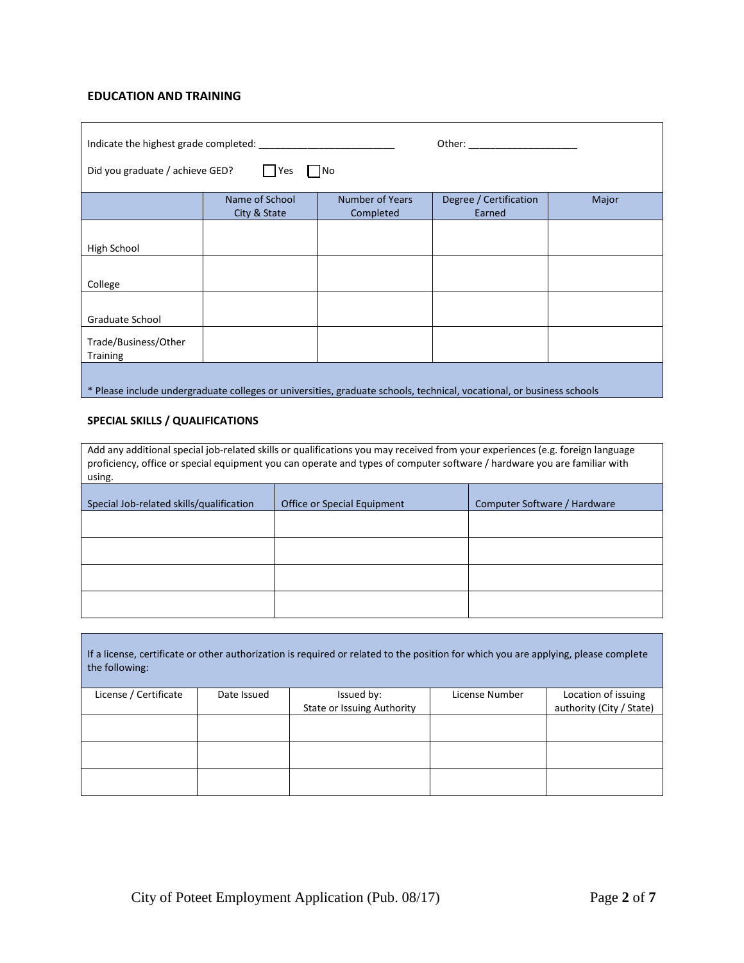## **EDUCATION AND TRAINING**

| Other: and the contract of the contract of the contract of the contract of the contract of the contract of the contract of the contract of the contract of the contract of the contract of the contract of the contract of the |                                |                                     |                                  |       |  |
|--------------------------------------------------------------------------------------------------------------------------------------------------------------------------------------------------------------------------------|--------------------------------|-------------------------------------|----------------------------------|-------|--|
| Did you graduate / achieve GED?                                                                                                                                                                                                | Yes                            | No                                  |                                  |       |  |
|                                                                                                                                                                                                                                | Name of School<br>City & State | <b>Number of Years</b><br>Completed | Degree / Certification<br>Earned | Major |  |
|                                                                                                                                                                                                                                |                                |                                     |                                  |       |  |
| High School                                                                                                                                                                                                                    |                                |                                     |                                  |       |  |
| College                                                                                                                                                                                                                        |                                |                                     |                                  |       |  |
|                                                                                                                                                                                                                                |                                |                                     |                                  |       |  |
| Graduate School                                                                                                                                                                                                                |                                |                                     |                                  |       |  |
| Trade/Business/Other<br><b>Training</b>                                                                                                                                                                                        |                                |                                     |                                  |       |  |
| * Please include undergraduate colleges or universities, graduate schools, technical, vocational, or business schools                                                                                                          |                                |                                     |                                  |       |  |

#### **SPECIAL SKILLS / QUALIFICATIONS**

| Add any additional special job-related skills or qualifications you may received from your experiences (e.g. foreign language<br>proficiency, office or special equipment you can operate and types of computer software / hardware you are familiar with<br>using. |  |  |  |  |
|---------------------------------------------------------------------------------------------------------------------------------------------------------------------------------------------------------------------------------------------------------------------|--|--|--|--|
| Special Job-related skills/qualification<br>Computer Software / Hardware<br>Office or Special Equipment                                                                                                                                                             |  |  |  |  |
|                                                                                                                                                                                                                                                                     |  |  |  |  |
|                                                                                                                                                                                                                                                                     |  |  |  |  |
|                                                                                                                                                                                                                                                                     |  |  |  |  |
|                                                                                                                                                                                                                                                                     |  |  |  |  |

| If a license, certificate or other authorization is required or related to the position for which you are applying, please complete<br>the following: |             |                            |                |                          |
|-------------------------------------------------------------------------------------------------------------------------------------------------------|-------------|----------------------------|----------------|--------------------------|
| License / Certificate                                                                                                                                 | Date Issued | Issued by:                 | License Number | Location of issuing      |
|                                                                                                                                                       |             | State or Issuing Authority |                | authority (City / State) |
|                                                                                                                                                       |             |                            |                |                          |
|                                                                                                                                                       |             |                            |                |                          |
|                                                                                                                                                       |             |                            |                |                          |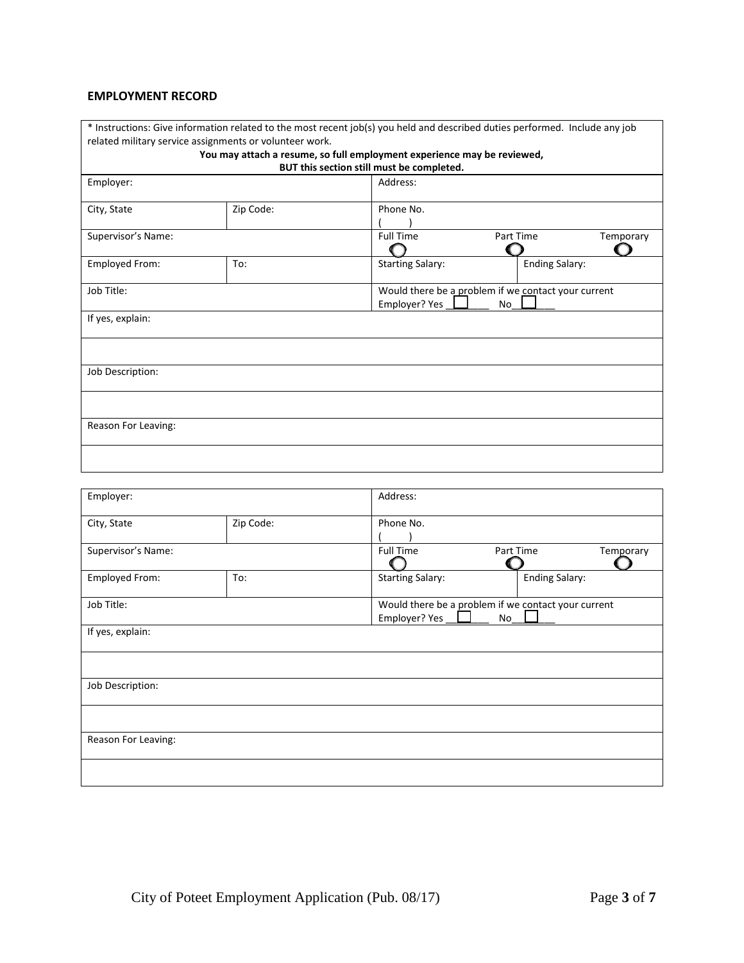#### **EMPLOYMENT RECORD**

| * Instructions: Give information related to the most recent job(s) you held and described duties performed. Include any job<br>related military service assignments or volunteer work. |                                                                            |                         |                       |           |
|----------------------------------------------------------------------------------------------------------------------------------------------------------------------------------------|----------------------------------------------------------------------------|-------------------------|-----------------------|-----------|
| You may attach a resume, so full employment experience may be reviewed,<br>BUT this section still must be completed.                                                                   |                                                                            |                         |                       |           |
| Employer:                                                                                                                                                                              |                                                                            | Address:                |                       |           |
| City, State                                                                                                                                                                            | Zip Code:                                                                  | Phone No.               |                       |           |
| Supervisor's Name:                                                                                                                                                                     |                                                                            | <b>Full Time</b>        | Part Time             | Temporary |
| Employed From:                                                                                                                                                                         | To:                                                                        | <b>Starting Salary:</b> | <b>Ending Salary:</b> |           |
| Job Title:                                                                                                                                                                             | Would there be a problem if we contact your current<br>Employer? Yes<br>No |                         |                       |           |
| If yes, explain:                                                                                                                                                                       |                                                                            |                         |                       |           |
|                                                                                                                                                                                        |                                                                            |                         |                       |           |
| Job Description:                                                                                                                                                                       |                                                                            |                         |                       |           |
|                                                                                                                                                                                        |                                                                            |                         |                       |           |
| Reason For Leaving:                                                                                                                                                                    |                                                                            |                         |                       |           |
|                                                                                                                                                                                        |                                                                            |                         |                       |           |

| Employer:           |           | Address:                                                             |                       |           |
|---------------------|-----------|----------------------------------------------------------------------|-----------------------|-----------|
| City, State         | Zip Code: | Phone No.                                                            |                       |           |
| Supervisor's Name:  |           | <b>Full Time</b>                                                     | Part Time             | Temporary |
| Employed From:      | To:       | <b>Starting Salary:</b>                                              | <b>Ending Salary:</b> |           |
| Job Title:          |           | Would there be a problem if we contact your current<br>Employer? Yes | No                    |           |
| If yes, explain:    |           |                                                                      |                       |           |
|                     |           |                                                                      |                       |           |
| Job Description:    |           |                                                                      |                       |           |
|                     |           |                                                                      |                       |           |
| Reason For Leaving: |           |                                                                      |                       |           |
|                     |           |                                                                      |                       |           |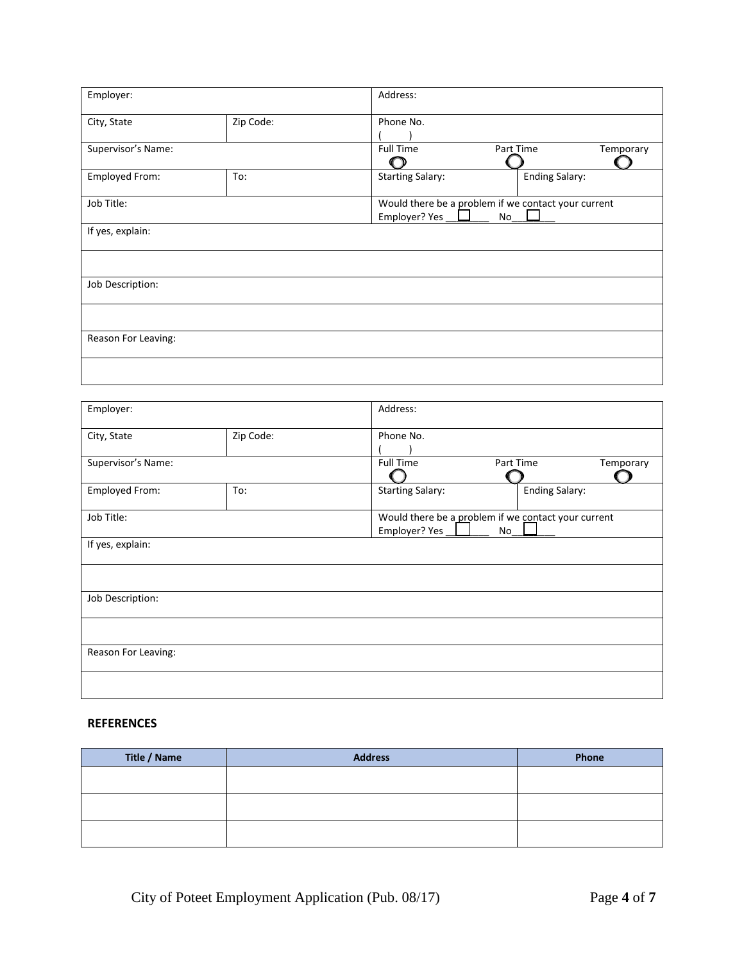| Employer:           |           | Address:                |                                                     |           |
|---------------------|-----------|-------------------------|-----------------------------------------------------|-----------|
| City, State         | Zip Code: | Phone No.               |                                                     |           |
|                     |           |                         |                                                     |           |
| Supervisor's Name:  |           | <b>Full Time</b>        | Part Time                                           | Temporary |
|                     |           |                         |                                                     |           |
| Employed From:      | To:       | <b>Starting Salary:</b> | <b>Ending Salary:</b>                               |           |
| Job Title:          |           |                         | Would there be a problem if we contact your current |           |
|                     |           | Employer? Yes           | No                                                  |           |
| If yes, explain:    |           |                         |                                                     |           |
|                     |           |                         |                                                     |           |
| Job Description:    |           |                         |                                                     |           |
|                     |           |                         |                                                     |           |
| Reason For Leaving: |           |                         |                                                     |           |
|                     |           |                         |                                                     |           |

| Employer:           |           | Address:                                                                   |                        |  |
|---------------------|-----------|----------------------------------------------------------------------------|------------------------|--|
| City, State         | Zip Code: | Phone No.                                                                  |                        |  |
| Supervisor's Name:  |           | <b>Full Time</b>                                                           | Part Time<br>Temporary |  |
| Employed From:      | To:       | <b>Starting Salary:</b>                                                    | <b>Ending Salary:</b>  |  |
| Job Title:          |           | Would there be a problem if we contact your current<br>Employer? Yes<br>No |                        |  |
| If yes, explain:    |           |                                                                            |                        |  |
|                     |           |                                                                            |                        |  |
| Job Description:    |           |                                                                            |                        |  |
|                     |           |                                                                            |                        |  |
| Reason For Leaving: |           |                                                                            |                        |  |
|                     |           |                                                                            |                        |  |

## **REFERENCES**

| Title / Name | <b>Address</b> | Phone |
|--------------|----------------|-------|
|              |                |       |
|              |                |       |
|              |                |       |
|              |                |       |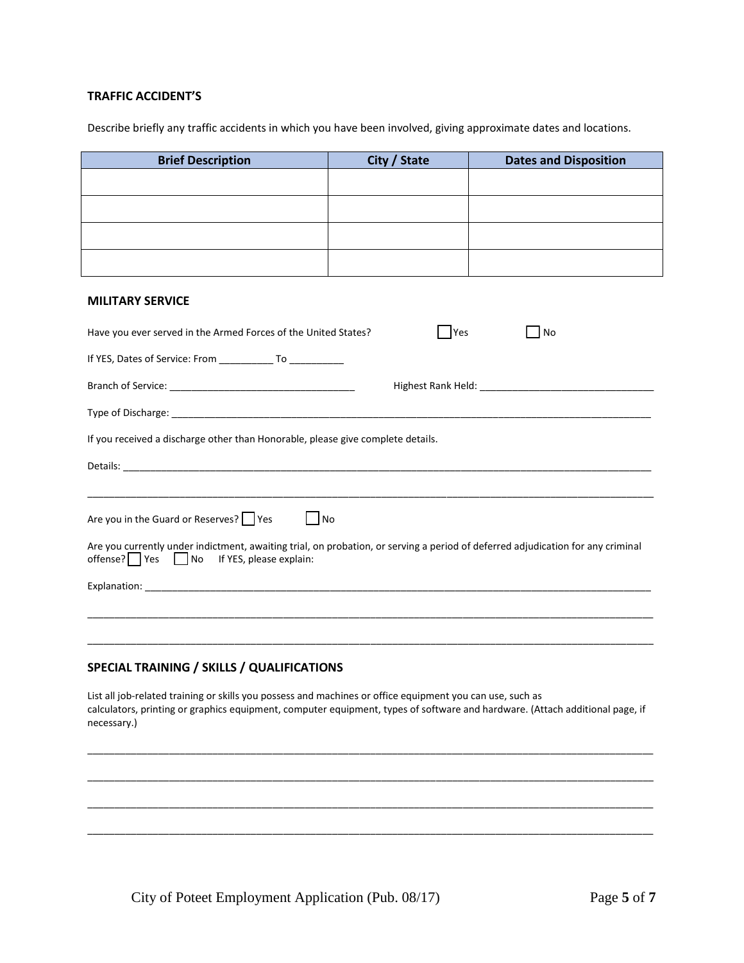### **TRAFFIC ACCIDENT'S**

Describe briefly any traffic accidents in which you have been involved, giving approximate dates and locations.

| <b>Brief Description</b>                                                                                                                                                                                                                                 | City / State | <b>Dates and Disposition</b> |  |  |
|----------------------------------------------------------------------------------------------------------------------------------------------------------------------------------------------------------------------------------------------------------|--------------|------------------------------|--|--|
|                                                                                                                                                                                                                                                          |              |                              |  |  |
|                                                                                                                                                                                                                                                          |              |                              |  |  |
|                                                                                                                                                                                                                                                          |              |                              |  |  |
|                                                                                                                                                                                                                                                          |              |                              |  |  |
|                                                                                                                                                                                                                                                          |              |                              |  |  |
| <b>MILITARY SERVICE</b>                                                                                                                                                                                                                                  |              |                              |  |  |
| Have you ever served in the Armed Forces of the United States?                                                                                                                                                                                           | Yes          | No                           |  |  |
| If YES, Dates of Service: From ____________ To ___________                                                                                                                                                                                               |              |                              |  |  |
|                                                                                                                                                                                                                                                          |              |                              |  |  |
|                                                                                                                                                                                                                                                          |              |                              |  |  |
| If you received a discharge other than Honorable, please give complete details.                                                                                                                                                                          |              |                              |  |  |
|                                                                                                                                                                                                                                                          |              |                              |  |  |
|                                                                                                                                                                                                                                                          |              |                              |  |  |
| Are you in the Guard or Reserves? Yes<br>$\blacksquare$ No                                                                                                                                                                                               |              |                              |  |  |
| Are you currently under indictment, awaiting trial, on probation, or serving a period of deferred adjudication for any criminal<br>$offense?$ Yes $\Box$ No<br>If YES, please explain:                                                                   |              |                              |  |  |
|                                                                                                                                                                                                                                                          |              |                              |  |  |
|                                                                                                                                                                                                                                                          |              |                              |  |  |
|                                                                                                                                                                                                                                                          |              |                              |  |  |
| SPECIAL TRAINING / SKILLS / QUALIFICATIONS                                                                                                                                                                                                               |              |                              |  |  |
| List all job-related training or skills you possess and machines or office equipment you can use, such as<br>calculators, printing or graphics equipment, computer equipment, types of software and hardware. (Attach additional page, if<br>necessary.) |              |                              |  |  |
|                                                                                                                                                                                                                                                          |              |                              |  |  |
|                                                                                                                                                                                                                                                          |              |                              |  |  |
|                                                                                                                                                                                                                                                          |              |                              |  |  |

\_\_\_\_\_\_\_\_\_\_\_\_\_\_\_\_\_\_\_\_\_\_\_\_\_\_\_\_\_\_\_\_\_\_\_\_\_\_\_\_\_\_\_\_\_\_\_\_\_\_\_\_\_\_\_\_\_\_\_\_\_\_\_\_\_\_\_\_\_\_\_\_\_\_\_\_\_\_\_\_\_\_\_\_\_\_\_\_\_\_\_\_\_\_\_\_\_\_\_\_\_\_\_\_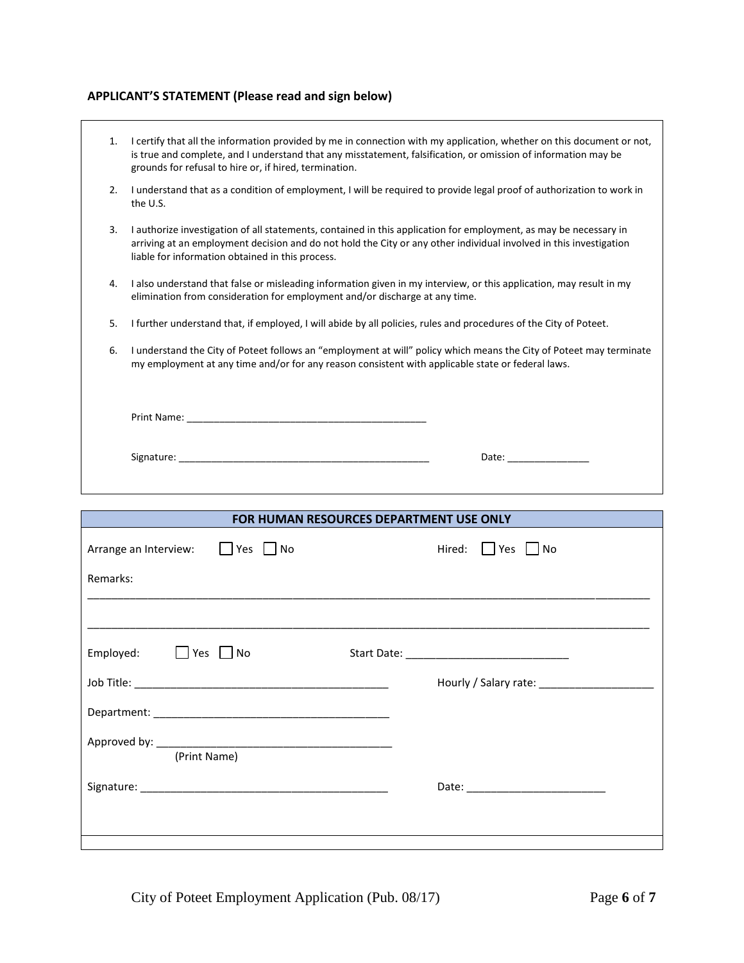## **APPLICANT'S STATEMENT (Please read and sign below)**

| 1. | I certify that all the information provided by me in connection with my application, whether on this document or not,<br>is true and complete, and I understand that any misstatement, falsification, or omission of information may be<br>grounds for refusal to hire or, if hired, termination.                                                |
|----|--------------------------------------------------------------------------------------------------------------------------------------------------------------------------------------------------------------------------------------------------------------------------------------------------------------------------------------------------|
| 2. | I understand that as a condition of employment, I will be required to provide legal proof of authorization to work in<br>the U.S.                                                                                                                                                                                                                |
| 3. | I authorize investigation of all statements, contained in this application for employment, as may be necessary in<br>arriving at an employment decision and do not hold the City or any other individual involved in this investigation<br>liable for information obtained in this process.                                                      |
| 4. | I also understand that false or misleading information given in my interview, or this application, may result in my<br>elimination from consideration for employment and/or discharge at any time.                                                                                                                                               |
| 5. | I further understand that, if employed, I will abide by all policies, rules and procedures of the City of Poteet.                                                                                                                                                                                                                                |
| 6. | I understand the City of Poteet follows an "employment at will" policy which means the City of Poteet may terminate<br>my employment at any time and/or for any reason consistent with applicable state or federal laws.                                                                                                                         |
|    |                                                                                                                                                                                                                                                                                                                                                  |
|    | Signature: The contract of the contract of the contract of the contract of the contract of the contract of the<br>Date: the contract of the contract of the contract of the contract of the contract of the contract of the contract of the contract of the contract of the contract of the contract of the contract of the contract of the cont |
|    |                                                                                                                                                                                                                                                                                                                                                  |

| FOR HUMAN RESOURCES DEPARTMENT USE ONLY |               |  |  |
|-----------------------------------------|---------------|--|--|
| Arrange an Interview: Pres No           | Hired: Yes No |  |  |
| Remarks:                                |               |  |  |
|                                         |               |  |  |
| Employed: No                            |               |  |  |
|                                         |               |  |  |
|                                         |               |  |  |
| (Print Name)                            |               |  |  |
|                                         |               |  |  |
|                                         |               |  |  |

City of Poteet Employment Application (Pub. 08/17) Page **6** of **7**